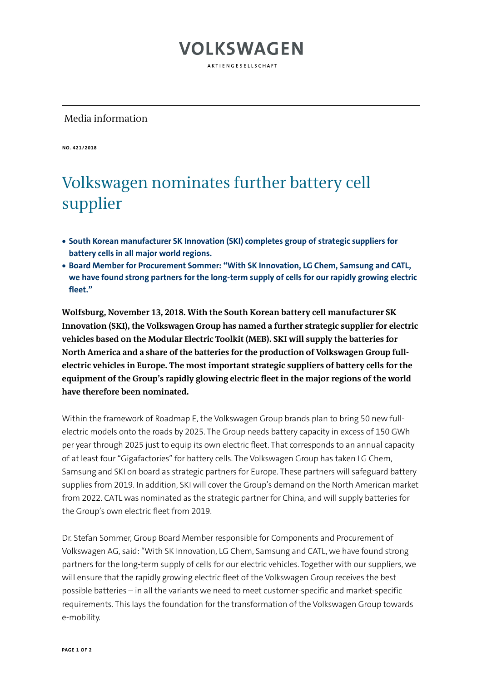## **VOLKSWAGEN**

AKTIFNGFSFLISCHAFT

#### Media information

**NO. 421/2018**

## Volkswagen nominates further battery cell supplier

- **South Korean manufacturer SK Innovation (SKI) completes group of strategic suppliers for battery cells in all major world regions.**
- **Board Member for Procurement Sommer: "With SK Innovation, LG Chem, Samsung and CATL, we have found strong partners for the long-term supply of cells for our rapidly growing electric fleet."**

**Wolfsburg, November 13, 2018. With the South Korean battery cell manufacturer SK Innovation (SKI), the Volkswagen Group has named a further strategic supplier for electric vehicles based on the Modular Electric Toolkit (MEB). SKI will supply the batteries for North America and a share of the batteries for the production of Volkswagen Group fullelectric vehicles in Europe. The most important strategic suppliers of battery cells for the equipment of the Group's rapidly glowing electric fleet in the major regions of the world have therefore been nominated.**

Within the framework of Roadmap E, the Volkswagen Group brands plan to bring 50 new fullelectric models onto the roads by 2025. The Group needs battery capacity in excess of 150 GWh per year through 2025 just to equip its own electric fleet. That corresponds to an annual capacity of at least four "Gigafactories" for battery cells. The Volkswagen Group has taken LG Chem, Samsung and SKI on board as strategic partners for Europe. These partners will safeguard battery supplies from 2019. In addition, SKI will cover the Group's demand on the North American market from 2022. CATL was nominated as the strategic partner for China, and will supply batteries for the Group's own electric fleet from 2019.

Dr. Stefan Sommer, Group Board Member responsible for Components and Procurement of Volkswagen AG, said: "With SK Innovation, LG Chem, Samsung and CATL, we have found strong partners for the long-term supply of cells for our electric vehicles. Together with our suppliers, we will ensure that the rapidly growing electric fleet of the Volkswagen Group receives the best possible batteries – in all the variants we need to meet customer-specific and market-specific requirements. This lays the foundation for the transformation of the Volkswagen Group towards e-mobility.